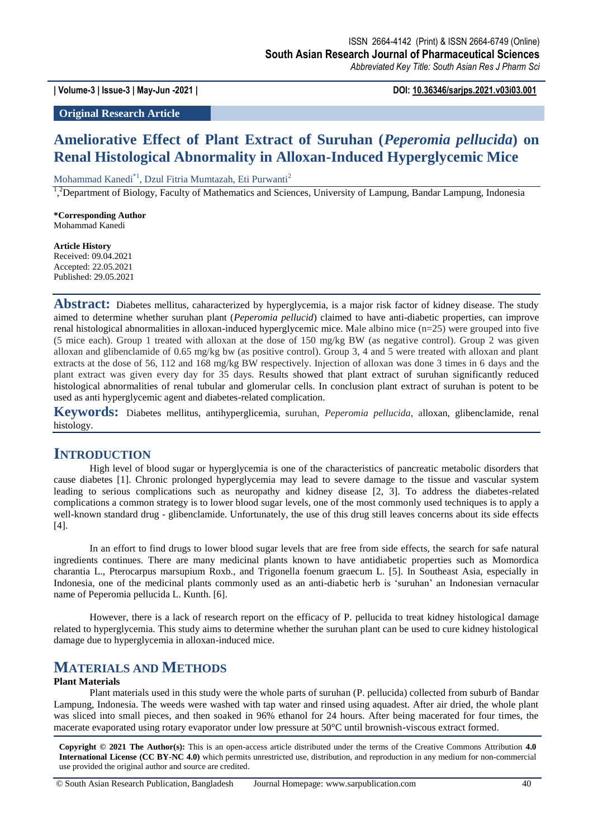**| Volume-3 | Issue-3 | May-Jun -2021 | DOI: 10.36346/sarjps.2021.v03i03.001**

**Original Research Article**

# **Ameliorative Effect of Plant Extract of Suruhan (***Peperomia pellucida***) on Renal Histological Abnormality in Alloxan-Induced Hyperglycemic Mice**

Mohammad Kanedi\*1, Dzul Fitria Mumtazah, Eti Purwanti<sup>2</sup>

<sup>1</sup>,<sup>2</sup>Department of Biology, Faculty of Mathematics and Sciences, University of Lampung, Bandar Lampung, Indonesia

**\*Corresponding Author** Mohammad Kanedi

**Article History** Received: 09.04.2021 Accepted: 22.05.2021 Published: 29.05.2021

**Abstract:** Diabetes mellitus, caharacterized by hyperglycemia, is a major risk factor of kidney disease. The study aimed to determine whether suruhan plant (*Peperomia pellucid*) claimed to have anti-diabetic properties, can improve renal histological abnormalities in alloxan-induced hyperglycemic mice. Male albino mice (n=25) were grouped into five (5 mice each). Group 1 treated with alloxan at the dose of 150 mg/kg BW (as negative control). Group 2 was given alloxan and glibenclamide of 0.65 mg/kg bw (as positive control). Group 3, 4 and 5 were treated with alloxan and plant extracts at the dose of 56, 112 and 168 mg/kg BW respectively. Injection of alloxan was done 3 times in 6 days and the plant extract was given every day for 35 days. Results showed that plant extract of suruhan significantly reduced histological abnormalities of renal tubular and glomerular cells. In conclusion plant extract of suruhan is potent to be used as anti hyperglycemic agent and diabetes-related complication.

**Keywords:** Diabetes mellitus, antihyperglicemia, suruhan, *Peperomia pellucida*, alloxan, glibenclamide, renal histology.

### **INTRODUCTION**

High level of blood sugar or hyperglycemia is one of the characteristics of pancreatic metabolic disorders that cause diabetes [1]. Chronic prolonged hyperglycemia may lead to severe damage to the tissue and vascular system leading to serious complications such as neuropathy and kidney disease [2, 3]. To address the diabetes-related complications a common strategy is to lower blood sugar levels, one of the most commonly used techniques is to apply a well-known standard drug - glibenclamide. Unfortunately, the use of this drug still leaves concerns about its side effects [4].

In an effort to find drugs to lower blood sugar levels that are free from side effects, the search for safe natural ingredients continues. There are many medicinal plants known to have antidiabetic properties such as Momordica charantia L., Pterocarpus marsupium Roxb., and Trigonella foenum graecum L. [5]. In Southeast Asia, especially in Indonesia, one of the medicinal plants commonly used as an anti-diabetic herb is 'suruhan' an Indonesian vernacular name of Peperomia pellucida L. Kunth. [6].

However, there is a lack of research report on the efficacy of P. pellucida to treat kidney histological damage related to hyperglycemia. This study aims to determine whether the suruhan plant can be used to cure kidney histological damage due to hyperglycemia in alloxan-induced mice.

## **MATERIALS AND METHODS**

### **Plant Materials**

Plant materials used in this study were the whole parts of suruhan (P. pellucida) collected from suburb of Bandar Lampung, Indonesia. The weeds were washed with tap water and rinsed using aquadest. After air dried, the whole plant was sliced into small pieces, and then soaked in 96% ethanol for 24 hours. After being macerated for four times, the macerate evaporated using rotary evaporator under low pressure at 50°C until brownish-viscous extract formed.

**Copyright © 2021 The Author(s):** This is an open-access article distributed under the terms of the Creative Commons Attribution **4.0 International License (CC BY-NC 4.0)** which permits unrestricted use, distribution, and reproduction in any medium for non-commercial use provided the original author and source are credited.

© South Asian Research Publication, Bangladesh Journal Homepage: www.sarpublication.com 40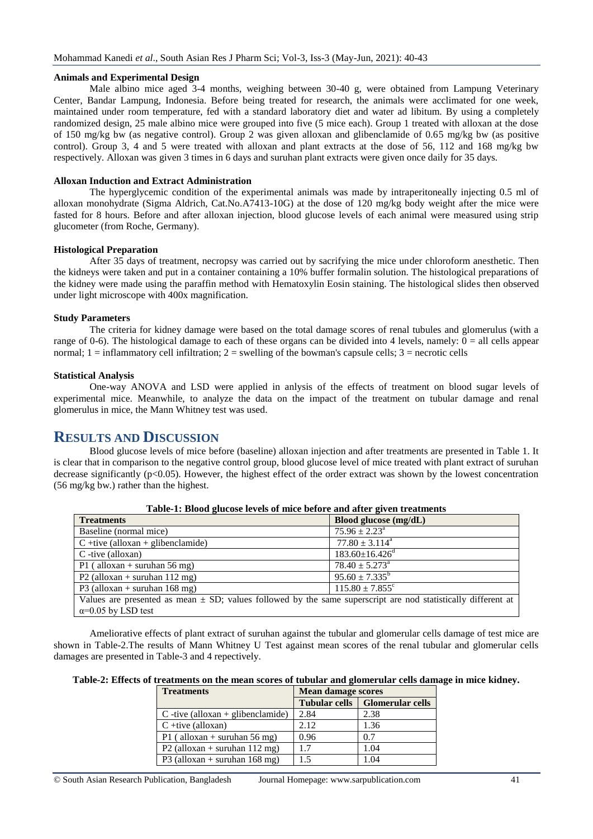#### **Animals and Experimental Design**

Male albino mice aged 3-4 months, weighing between 30-40 g, were obtained from Lampung Veterinary Center, Bandar Lampung, Indonesia. Before being treated for research, the animals were acclimated for one week, maintained under room temperature, fed with a standard laboratory diet and water ad libitum. By using a completely randomized design, 25 male albino mice were grouped into five (5 mice each). Group 1 treated with alloxan at the dose of 150 mg/kg bw (as negative control). Group 2 was given alloxan and glibenclamide of 0.65 mg/kg bw (as positive control). Group 3, 4 and 5 were treated with alloxan and plant extracts at the dose of 56, 112 and 168 mg/kg bw respectively. Alloxan was given 3 times in 6 days and suruhan plant extracts were given once daily for 35 days.

#### **Alloxan Induction and Extract Administration**

The hyperglycemic condition of the experimental animals was made by intraperitoneally injecting 0.5 ml of alloxan monohydrate (Sigma Aldrich, Cat.No.A7413-10G) at the dose of 120 mg/kg body weight after the mice were fasted for 8 hours. Before and after alloxan injection, blood glucose levels of each animal were measured using strip glucometer (from Roche, Germany).

#### **Histological Preparation**

After 35 days of treatment, necropsy was carried out by sacrifying the mice under chloroform anesthetic. Then the kidneys were taken and put in a container containing a 10% buffer formalin solution. The histological preparations of the kidney were made using the paraffin method with Hematoxylin Eosin staining. The histological slides then observed under light microscope with 400x magnification.

#### **Study Parameters**

The criteria for kidney damage were based on the total damage scores of renal tubules and glomerulus (with a range of 0-6). The histological damage to each of these organs can be divided into 4 levels, namely:  $0 =$  all cells appear normal;  $1 = \inf$  inflammatory cell infiltration;  $2 = \text{swelling}$  of the bowman's capsule cells;  $3 = \text{necrotic}$  cells

#### **Statistical Analysis**

One-way ANOVA and LSD were applied in anlysis of the effects of treatment on blood sugar levels of experimental mice. Meanwhile, to analyze the data on the impact of the treatment on tubular damage and renal glomerulus in mice, the Mann Whitney test was used.

### **RESULTS AND DISCUSSION**

Blood glucose levels of mice before (baseline) alloxan injection and after treatments are presented in Table 1. It is clear that in comparison to the negative control group, blood glucose level of mice treated with plant extract of suruhan decrease significantly ( $p<0.05$ ). However, the highest effect of the order extract was shown by the lowest concentration (56 mg/kg bw.) rather than the highest.

| <b>Treatments</b>                                                                                                 | Blood glucose (mg/dL)            |  |  |  |
|-------------------------------------------------------------------------------------------------------------------|----------------------------------|--|--|--|
| Baseline (normal mice)                                                                                            | $75.96 \pm 2.23^{\circ}$         |  |  |  |
| $C +$ tive (alloxan + glibenclamide)                                                                              | $77.80 \pm 3.114^{\circ}$        |  |  |  |
| $C$ -tive (alloxan)                                                                                               | $183.60 \pm 16.426$ <sup>d</sup> |  |  |  |
| P1 (alloxan + suruhan 56 mg)                                                                                      | $78.40 \pm 5.273^{\circ}$        |  |  |  |
| P2 (alloxan + suruhan $112 \text{ mg}$ )                                                                          | $95.60 \pm 7.335^b$              |  |  |  |
| P3 (alloxan + suruhan $168 \text{ mg}$ )                                                                          | $115.80 \pm 7.855$ <sup>c</sup>  |  |  |  |
| Values are presented as mean $\pm$ SD; values followed by the same superscript are nod statistically different at |                                  |  |  |  |
| $\alpha$ =0.05 by LSD test                                                                                        |                                  |  |  |  |

**Table-1: Blood glucose levels of mice before and after given treatments**

Ameliorative effects of plant extract of suruhan against the tubular and glomerular cells damage of test mice are shown in Table-2.The results of Mann Whitney U Test against mean scores of the renal tubular and glomerular cells damages are presented in Table-3 and 4 repectively.

| Table-2: Effects of treatments on the mean scores of tubular and glomerular cells damage in mice kidney. |  |  |  |
|----------------------------------------------------------------------------------------------------------|--|--|--|
|                                                                                                          |  |  |  |

| <b>Treatments</b>                        | <b>Mean damage scores</b> |                                  |  |
|------------------------------------------|---------------------------|----------------------------------|--|
|                                          |                           | Tubular cells   Glomerular cells |  |
| $C$ -tive (alloxan + glibenclamide)      | 2.84                      | 2.38                             |  |
| $C +$ tive (alloxan)                     | 2.12                      | 1.36                             |  |
| P1 (alloxan + suruhan 56 mg)             | 0.96                      | 0.7                              |  |
| P2 (alloxan + suruhan $112 \text{ mg}$ ) | 1.7                       | 1.04                             |  |
| P3 (alloxan + suruhan $168$ mg)          | 1.5                       | 1.04                             |  |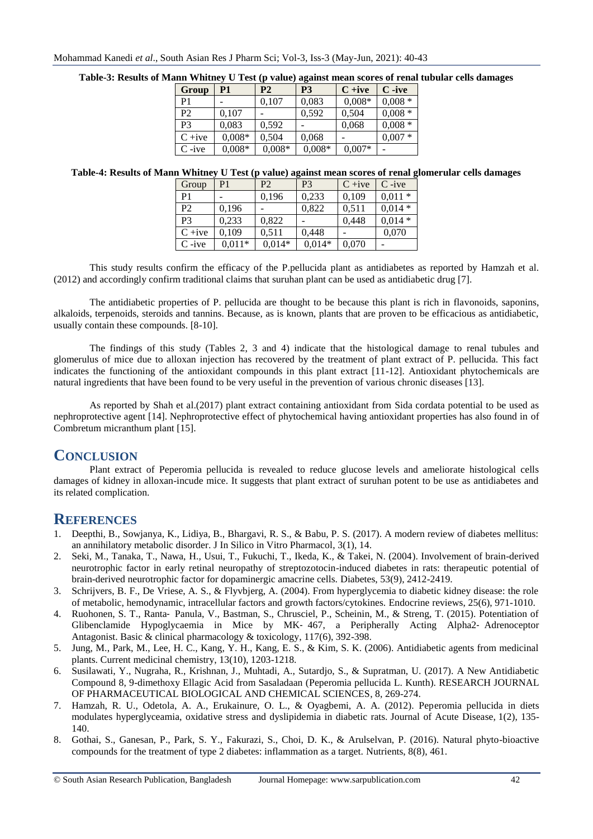| Group          | P1       | P <sub>2</sub> | P <sub>3</sub> | $C + ive$ | $C -ive$ |
|----------------|----------|----------------|----------------|-----------|----------|
| P1             |          | 0,107          | 0,083          | $0,008*$  | $0,008*$ |
| P <sub>2</sub> | 0,107    |                | 0,592          | 0,504     | $0,008*$ |
| P <sub>3</sub> | 0,083    | 0,592          |                | 0,068     | $0,008*$ |
| $C + ive$      | $0,008*$ | 0,504          | 0,068          |           | $0,007*$ |
| $C -ive$       | $0,008*$ | $0,008*$       | $0,008*$       | $0,007*$  |          |

#### **Table-3: Results of Mann Whitney U Test (p value) against mean scores of renal tubular cells damages**

### **Table-4: Results of Mann Whitney U Test (p value) against mean scores of renal glomerular cells damages**

| Group          | P1       | P <sub>2</sub> | P <sub>3</sub> | $C + ive$ | $C$ -ive |
|----------------|----------|----------------|----------------|-----------|----------|
| P1             |          | 0,196          | 0.233          | 0,109     | $0,011*$ |
| P <sub>2</sub> | 0,196    |                | 0,822          | 0,511     | $0,014*$ |
| P <sub>3</sub> | 0,233    | 0,822          |                | 0,448     | $0,014*$ |
| $C + ive$      | 0.109    | 0,511          | 0,448          |           | 0,070    |
| $C$ -ive       | $0.011*$ | $0,014*$       | $0,014*$       | 0,070     |          |

This study results confirm the efficacy of the P.pellucida plant as antidiabetes as reported by Hamzah et al. (2012) and accordingly confirm traditional claims that suruhan plant can be used as antidiabetic drug [7].

The antidiabetic properties of P. pellucida are thought to be because this plant is rich in flavonoids, saponins, alkaloids, terpenoids, steroids and tannins. Because, as is known, plants that are proven to be efficacious as antidiabetic, usually contain these compounds. [8-10].

The findings of this study (Tables 2, 3 and 4) indicate that the histological damage to renal tubules and glomerulus of mice due to alloxan injection has recovered by the treatment of plant extract of P. pellucida. This fact indicates the functioning of the antioxidant compounds in this plant extract [11-12]. Antioxidant phytochemicals are natural ingredients that have been found to be very useful in the prevention of various chronic diseases [13].

As reported by Shah et al.(2017) plant extract containing antioxidant from Sida cordata potential to be used as nephroprotective agent [14]. Nephroprotective effect of phytochemical having antioxidant properties has also found in of Combretum micranthum plant [15].

## **CONCLUSION**

Plant extract of Peperomia pellucida is revealed to reduce glucose levels and ameliorate histological cells damages of kidney in alloxan-incude mice. It suggests that plant extract of suruhan potent to be use as antidiabetes and its related complication.

## **REFERENCES**

- 1. Deepthi, B., Sowjanya, K., Lidiya, B., Bhargavi, R. S., & Babu, P. S. (2017). A modern review of diabetes mellitus: an annihilatory metabolic disorder. J In Silico in Vitro Pharmacol, 3(1), 14.
- 2. Seki, M., Tanaka, T., Nawa, H., Usui, T., Fukuchi, T., Ikeda, K., & Takei, N. (2004). Involvement of brain-derived neurotrophic factor in early retinal neuropathy of streptozotocin-induced diabetes in rats: therapeutic potential of brain-derived neurotrophic factor for dopaminergic amacrine cells. Diabetes, 53(9), 2412-2419.
- 3. Schrijvers, B. F., De Vriese, A. S., & Flyvbjerg, A. (2004). From hyperglycemia to diabetic kidney disease: the role of metabolic, hemodynamic, intracellular factors and growth factors/cytokines. Endocrine reviews, 25(6), 971-1010.
- 4. Ruohonen, S. T., Ranta‐ Panula, V., Bastman, S., Chrusciel, P., Scheinin, M., & Streng, T. (2015). Potentiation of Glibenclamide Hypoglycaemia in Mice by MK‐ 467, a Peripherally Acting Alpha2‐ Adrenoceptor Antagonist. Basic & clinical pharmacology & toxicology, 117(6), 392-398.
- 5. Jung, M., Park, M., Lee, H. C., Kang, Y. H., Kang, E. S., & Kim, S. K. (2006). Antidiabetic agents from medicinal plants. Current medicinal chemistry, 13(10), 1203-1218.
- 6. Susilawati, Y., Nugraha, R., Krishnan, J., Muhtadi, A., Sutardjo, S., & Supratman, U. (2017). A New Antidiabetic Compound 8, 9-dimethoxy Ellagic Acid from Sasaladaan (Peperomia pellucida L. Kunth). RESEARCH JOURNAL OF PHARMACEUTICAL BIOLOGICAL AND CHEMICAL SCIENCES, 8, 269-274.
- 7. Hamzah, R. U., Odetola, A. A., Erukainure, O. L., & Oyagbemi, A. A. (2012). Peperomia pellucida in diets modulates hyperglyceamia, oxidative stress and dyslipidemia in diabetic rats. Journal of Acute Disease, 1(2), 135- 140.
- 8. Gothai, S., Ganesan, P., Park, S. Y., Fakurazi, S., Choi, D. K., & Arulselvan, P. (2016). Natural phyto-bioactive compounds for the treatment of type 2 diabetes: inflammation as a target. Nutrients, 8(8), 461.